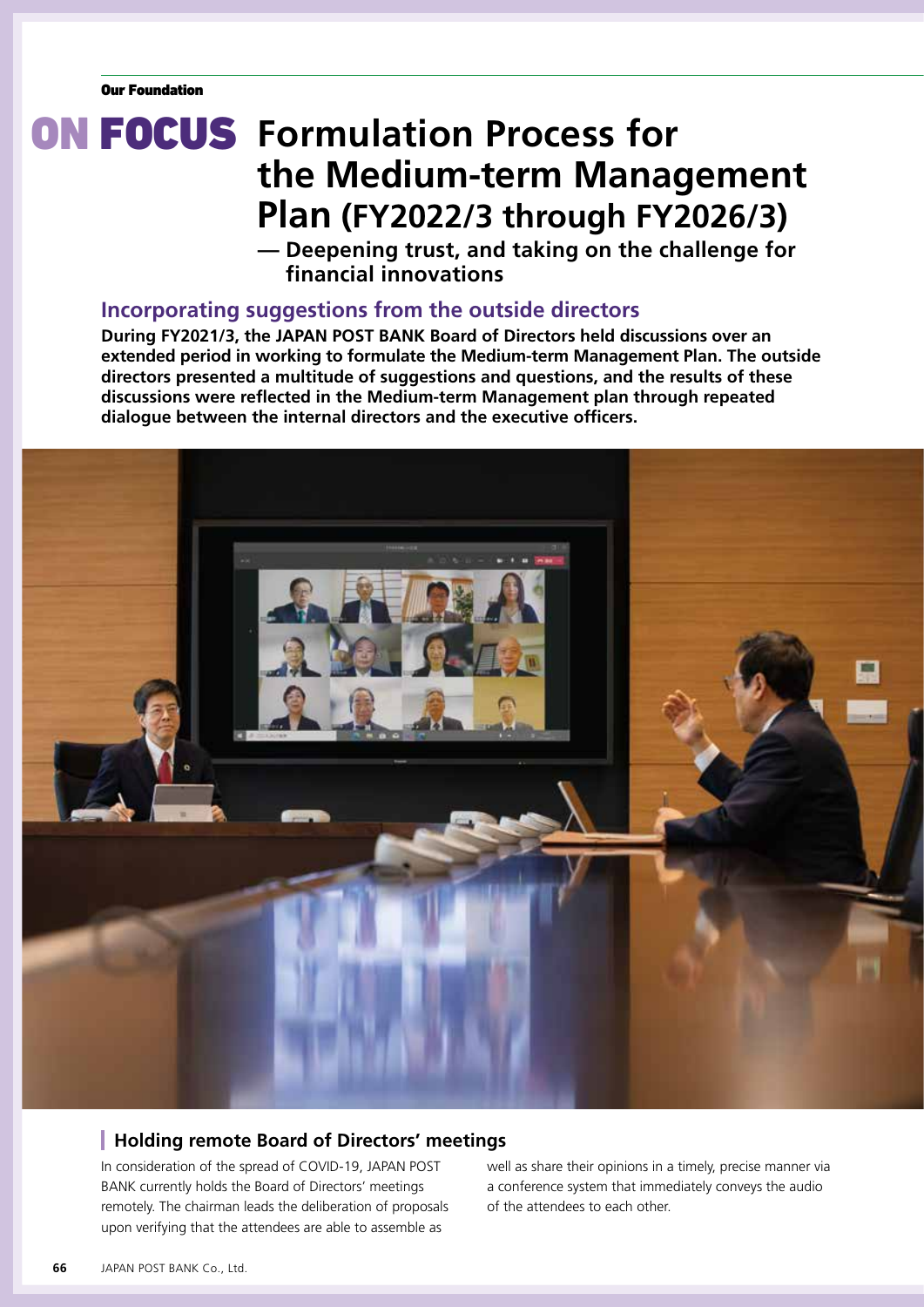# **ON FOCUS** Formulation Process for **the Medium-term Management Plan (FY2022/3 through FY2026/3)**

**— Deepening trust, and taking on the challenge for financial innovations**

## **Incorporating suggestions from the outside directors**

**During FY2021/3, the JAPAN POST BANK Board of Directors held discussions over an extended period in working to formulate the Medium-term Management Plan. The outside directors presented a multitude of suggestions and questions, and the results of these discussions were reflected in the Medium-term Management plan through repeated dialogue between the internal directors and the executive officers.**



### **Holding remote Board of Directors' meetings**

In consideration of the spread of COVID-19, JAPAN POST BANK currently holds the Board of Directors' meetings remotely. The chairman leads the deliberation of proposals upon verifying that the attendees are able to assemble as

well as share their opinions in a timely, precise manner via a conference system that immediately conveys the audio of the attendees to each other.